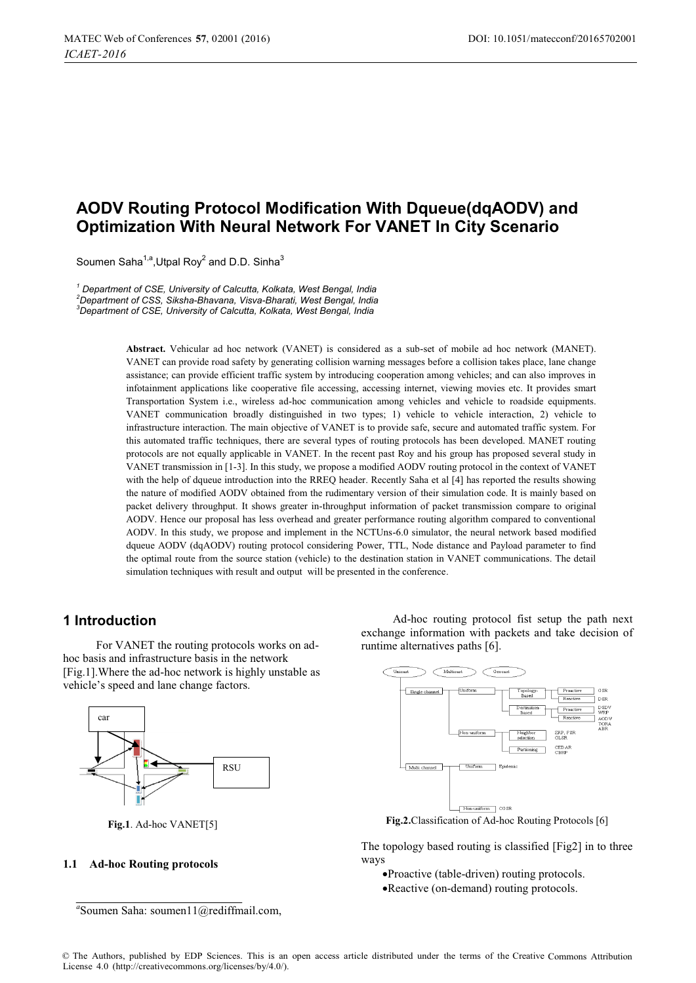# **AODV Routing Protocol Modification With Dqueue(dqAODV) and Optimization With Neural Network For VANET In City Scenario**

Soumen Saha<sup>1,a</sup>,Utpal Rov<sup>2</sup> and D.D. Sinha<sup>3</sup>

*1 Department of CSE, University of Calcutta, Kolkata, West Bengal, India 2 Department of CSS, Siksha-Bhavana, Visva-Bharati, West Bengal, India 3 Department of CSE, University of Calcutta, Kolkata, West Bengal, India* 

> **Abstract.** Vehicular ad hoc network (VANET) is considered as a sub-set of mobile ad hoc network (MANET). VANET can provide road safety by generating collision warning messages before a collision takes place, lane change assistance; can provide efficient traffic system by introducing cooperation among vehicles; and can also improves in infotainment applications like cooperative file accessing, accessing internet, viewing movies etc. It provides smart Transportation System i.e., wireless ad-hoc communication among vehicles and vehicle to roadside equipments. VANET communication broadly distinguished in two types; 1) vehicle to vehicle interaction, 2) vehicle to infrastructure interaction. The main objective of VANET is to provide safe, secure and automated traffic system. For this automated traffic techniques, there are several types of routing protocols has been developed. MANET routing protocols are not equally applicable in VANET. In the recent past Roy and his group has proposed several study in VANET transmission in [1-3]. In this study, we propose a modified AODV routing protocol in the context of VANET with the help of dqueue introduction into the RREQ header. Recently Saha et al [4] has reported the results showing the nature of modified AODV obtained from the rudimentary version of their simulation code. It is mainly based on packet delivery throughput. It shows greater in-throughput information of packet transmission compare to original AODV. Hence our proposal has less overhead and greater performance routing algorithm compared to conventional AODV. In this study, we propose and implement in the NCTUns-6.0 simulator, the neural network based modified dqueue AODV (dqAODV) routing protocol considering Power, TTL, Node distance and Payload parameter to find the optimal route from the source station (vehicle) to the destination station in VANET communications. The detail simulation techniques with result and output will be presented in the conference.

### **1 Introduction**

For VANET the routing protocols works on adhoc basis and infrastructure basis in the network [Fig.1].Where the ad-hoc network is highly unstable as vehicle's speed and lane change factors.



**Fig.1**. Ad-hoc VANET[5]

#### **1.1 Ad-hoc Routing protocols**

Ad-hoc routing protocol fist setup the path next exchange information with packets and take decision of runtime alternatives paths [6].



**Fig.2.**Classification of Ad-hoc Routing Protocols [6]

The topology based routing is classified [Fig2] in to three ways

- -Proactive (table-driven) routing protocols.
- -Reactive (on-demand) routing protocols.

*a* Soumen Saha: soumen11@rediffmail.com,

<sup>©</sup> The Authors, published by EDP Sciences. This is an open access article distributed under the terms of the Creative Commons Attribution License 4.0 [\(http://creativecommons.org/licenses/by/4.0/\).](http://creativecommons.org/licenses/by/4.0/)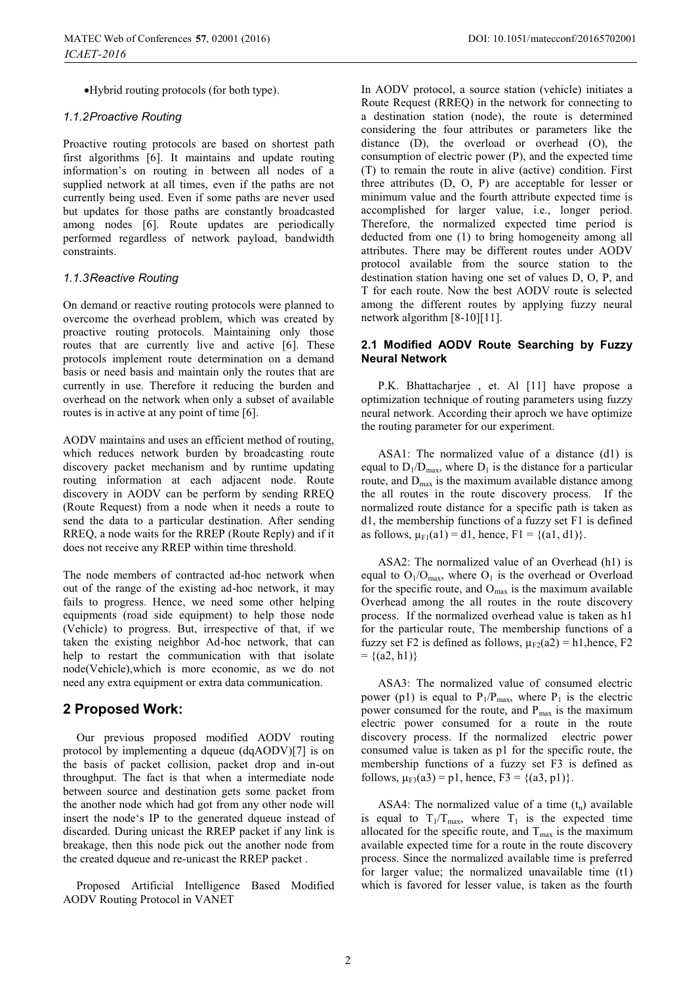-Hybrid routing protocols (for both type).

#### *1.1.2 Proactive Routing*

Proactive routing protocols are based on shortest path first algorithms [6]. It maintains and update routing information's on routing in between all nodes of a supplied network at all times, even if the paths are not currently being used. Even if some paths are never used but updates for those paths are constantly broadcasted among nodes [6]. Route updates are periodically performed regardless of network payload, bandwidth constraints.

#### *1.1.3 Reactive Routing*

On demand or reactive routing protocols were planned to overcome the overhead problem, which was created by proactive routing protocols. Maintaining only those routes that are currently live and active [6]. These protocols implement route determination on a demand basis or need basis and maintain only the routes that are currently in use. Therefore it reducing the burden and overhead on the network when only a subset of available routes is in active at any point of time [6].

AODV maintains and uses an efficient method of routing, which reduces network burden by broadcasting route discovery packet mechanism and by runtime updating routing information at each adjacent node. Route discovery in AODV can be perform by sending RREQ (Route Request) from a node when it needs a route to send the data to a particular destination. After sending RREQ, a node waits for the RREP (Route Reply) and if it does not receive any RREP within time threshold.

The node members of contracted ad-hoc network when out of the range of the existing ad-hoc network, it may fails to progress. Hence, we need some other helping equipments (road side equipment) to help those node (Vehicle) to progress. But, irrespective of that, if we taken the existing neighbor Ad-hoc network, that can help to restart the communication with that isolate node(Vehicle),which is more economic, as we do not need any extra equipment or extra data communication.

### **2 Proposed Work:**

Our previous proposed modified AODV routing protocol by implementing a dqueue (dqAODV)[7] is on the basis of packet collision, packet drop and in-out throughput. The fact is that when a intermediate node between source and destination gets some packet from the another node which had got from any other node will insert the node's IP to the generated dqueue instead of discarded. During unicast the RREP packet if any link is breakage, then this node pick out the another node from the created dqueue and re-unicast the RREP packet .

 Proposed Artificial Intelligence Based Modified AODV Routing Protocol in VANET

In AODV protocol, a source station (vehicle) initiates a Route Request (RREQ) in the network for connecting to a destination station (node), the route is determined considering the four attributes or parameters like the distance (D), the overload or overhead (O), the consumption of electric power (P), and the expected time (T) to remain the route in alive (active) condition. First three attributes (D, O, P) are acceptable for lesser or minimum value and the fourth attribute expected time is accomplished for larger value, i.e., longer period. Therefore, the normalized expected time period is deducted from one (1) to bring homogeneity among all attributes. There may be different routes under AODV protocol available from the source station to the destination station having one set of values D, O, P, and T for each route. Now the best AODV route is selected among the different routes by applying fuzzy neural network algorithm [8-10][11].

#### **2.1 Modified AODV Route Searching by Fuzzy Neural Network**

P.K. Bhattacharjee , et. Al [11] have propose a optimization technique of routing parameters using fuzzy neural network. According their aproch we have optimize the routing parameter for our experiment.

ASA1: The normalized value of a distance (d1) is equal to  $D_1/D_{\text{max}}$ , where  $D_1$  is the distance for a particular route, and  $D_{\text{max}}$  is the maximum available distance among the all routes in the route discovery process. If the normalized route distance for a specific path is taken as d1, the membership functions of a fuzzy set F1 is defined as follows,  $\mu_{F1}(a1) = d1$ , hence,  $F1 = \{(a1, d1)\}.$ 

ASA2: The normalized value of an Overhead (h1) is equal to  $O_1/O_{\text{max}}$ , where  $O_1$  is the overhead or Overload for the specific route, and  $O_{\text{max}}$  is the maximum available Overhead among the all routes in the route discovery process. If the normalized overhead value is taken as h1 for the particular route, The membership functions of a fuzzy set F2 is defined as follows,  $\mu_{F2}(a2) = h1$ , hence, F2  $= \{(a2, h1)\}\$ 

ASA3: The normalized value of consumed electric power (p1) is equal to  $P_1/P_{\text{max}}$ , where  $P_1$  is the electric power consumed for the route, and  $P_{max}$  is the maximum electric power consumed for a route in the route discovery process. If the normalized electric power consumed value is taken as p1 for the specific route, the membership functions of a fuzzy set F3 is defined as follows,  $\mu_{F3}(a3) = p1$ , hence,  $F3 = \{(a3, p1)\}.$ 

ASA4: The normalized value of a time  $(t_n)$  available is equal to  $T_1/T_{\text{max}}$ , where  $T_1$  is the expected time allocated for the specific route, and  $T_{\text{max}}$  is the maximum available expected time for a route in the route discovery process. Since the normalized available time is preferred for larger value; the normalized unavailable time (t1) which is favored for lesser value, is taken as the fourth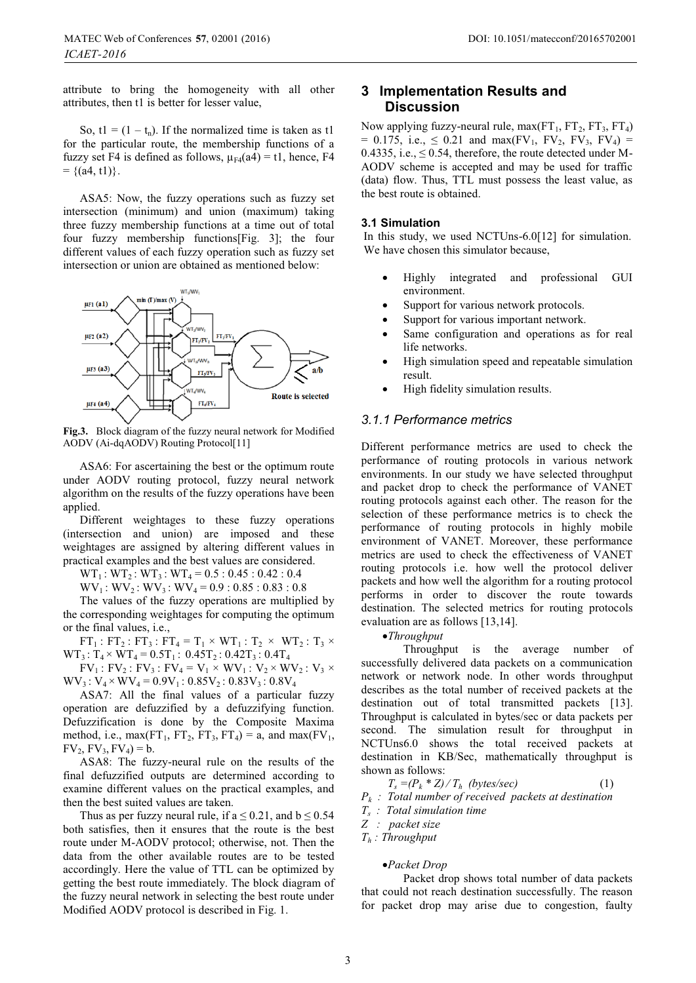attribute to bring the homogeneity with all other attributes, then t1 is better for lesser value,

So, t1 =  $(1 - t_n)$ . If the normalized time is taken as t1 for the particular route, the membership functions of a fuzzy set F4 is defined as follows,  $\mu_{F4}(a4) = t1$ , hence, F4  $= \{(a4, t1)\}.$ 

ASA5: Now, the fuzzy operations such as fuzzy set intersection (minimum) and union (maximum) taking three fuzzy membership functions at a time out of total four fuzzy membership functions[Fig. 3]; the four different values of each fuzzy operation such as fuzzy set intersection or union are obtained as mentioned below:



**Fig.3.** Block diagram of the fuzzy neural network for Modified AODV (Ai-dqAODV) Routing Protocol[11]

ASA6: For ascertaining the best or the optimum route under AODV routing protocol, fuzzy neural network algorithm on the results of the fuzzy operations have been applied.

Different weightages to these fuzzy operations (intersection and union) are imposed and these weightages are assigned by altering different values in practical examples and the best values are considered.

 $WT_1$ :  $WT_2$ :  $WT_3$ :  $WT_4 = 0.5$ : 0.45 : 0.42 : 0.4

 $WV_1$ :  $WV_2$ :  $WV_3$ :  $WV_4$  = 0.9 : 0.85 : 0.83 : 0.8

The values of the fuzzy operations are multiplied by the corresponding weightages for computing the optimum or the final values, i.e.,

 $FT_1$ :  $FT_2$ :  $FT_3$ :  $FT_4 = T_1 \times WT_1$ :  $T_2 \times WT_2$ :  $T_3 \times$  $WT_3: T_4 \times WT_4 = 0.5T_1: 0.45T_2: 0.42T_3: 0.4T_4$ 

 $FV_1$ :  $FV_2$ :  $FV_3$ :  $FV_4 = V_1 \times WV_1$ :  $V_2 \times WV_2$ :  $V_3 \times$  $WV_3: V_4 \times WV_4 = 0.9V_1: 0.85V_2: 0.83V_3: 0.8V_4$ 

ASA7: All the final values of a particular fuzzy operation are defuzzified by a defuzzifying function. Defuzzification is done by the Composite Maxima method, i.e.,  $max(FT_1, FT_2, FT_3, FT_4) = a$ , and  $max(FV_1, T_2, FT_4) = a$  $FV_2$ ,  $FV_3$ ,  $FV_4$ ) = b.

ASA8: The fuzzy-neural rule on the results of the final defuzzified outputs are determined according to examine different values on the practical examples, and then the best suited values are taken.

Thus as per fuzzy neural rule, if  $a \le 0.21$ , and  $b \le 0.54$ both satisfies, then it ensures that the route is the best route under M-AODV protocol; otherwise, not. Then the data from the other available routes are to be tested accordingly. Here the value of TTL can be optimized by getting the best route immediately. The block diagram of the fuzzy neural network in selecting the best route under Modified AODV protocol is described in Fig. 1.

### **Discussion 3 Implementation Results and**

Now applying fuzzy-neural rule, max $(FT_1, FT_2, FT_3, FT_4)$  $= 0.175$ , i.e.,  $\leq 0.21$  and max(FV<sub>1</sub>, FV<sub>2</sub>, FV<sub>3</sub>, FV<sub>4</sub>) = 0.4335, i.e.,  $\leq$  0.54, therefore, the route detected under M-AODV scheme is accepted and may be used for traffic (data) flow. Thus, TTL must possess the least value, as the best route is obtained.

#### **3.1 Simulation**

In this study, we used NCTUns-6.0[12] for simulation. We have chosen this simulator because,

- - Highly integrated and professional GUI environment.
- -Support for various network protocols.
- -Support for various important network.
- - Same configuration and operations as for real life networks.
- - High simulation speed and repeatable simulation result.
- -High fidelity simulation results.

#### *3.1.1 Performance metrics*

Different performance metrics are used to check the performance of routing protocols in various network environments. In our study we have selected throughput and packet drop to check the performance of VANET routing protocols against each other. The reason for the selection of these performance metrics is to check the performance of routing protocols in highly mobile environment of VANET. Moreover, these performance metrics are used to check the effectiveness of VANET routing protocols i.e. how well the protocol deliver packets and how well the algorithm for a routing protocol performs in order to discover the route towards destination. The selected metrics for routing protocols evaluation are as follows [13,14].

### -*Throughput*

Throughput is the average number of successfully delivered data packets on a communication network or network node. In other words throughput describes as the total number of received packets at the destination out of total transmitted packets [13]. Throughput is calculated in bytes/sec or data packets per second. The simulation result for throughput in NCTUns6.0 shows the total received packets at destination in KB/Sec, mathematically throughput is shown as follows:

 $T_s = (P_k * Z) / T_h$  *(bytes/sec)* (1)

*Pk : Total number of received packets at destination* 

- *Ts : Total simulation time*
- *Z : packet size*
- *Th : Throughput*

### -*Packet Drop*

Packet drop shows total number of data packets that could not reach destination successfully. The reason for packet drop may arise due to congestion, faulty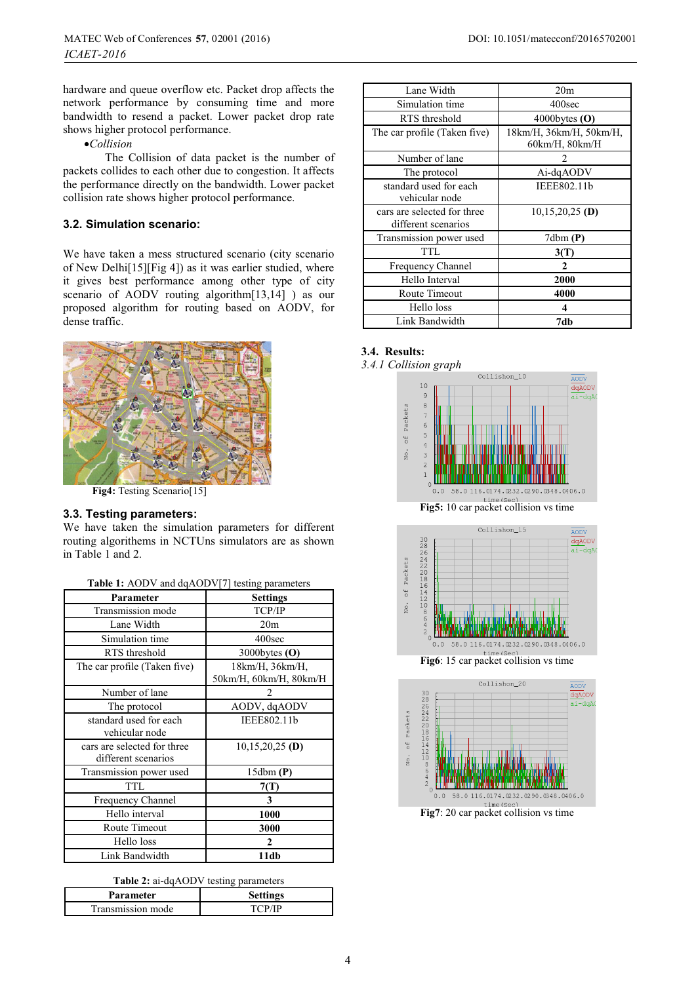hardware and queue overflow etc. Packet drop affects the network performance by consuming time and more bandwidth to resend a packet. Lower packet drop rate shows higher protocol performance.

-*Collision* 

The Collision of data packet is the number of packets collides to each other due to congestion. It affects the performance directly on the bandwidth. Lower packet collision rate shows higher protocol performance.

### **3.2. Simulation scenario:**

We have taken a mess structured scenario (city scenario of New Delhi[15][Fig 4]) as it was earlier studied, where it gives best performance among other type of city scenario of AODV routing algorithm[13,14] ) as our proposed algorithm for routing based on AODV, for dense traffic.



**Fig4:** Testing Scenario[15]

#### **3.3. Testing parameters:**

We have taken the simulation parameters for different routing algorithems in NCTUns simulators are as shown in Table 1 and 2.

| $1.22 \times 1.7$ to state parameter               |                                           |
|----------------------------------------------------|-------------------------------------------|
| Parameter                                          | <b>Settings</b>                           |
| Transmission mode                                  | TCP/IP                                    |
| Lane Width                                         | 20 <sub>m</sub>                           |
| Simulation time                                    | 400sec                                    |
| RTS threshold                                      | 3000bytes $(O)$                           |
| The car profile (Taken five)                       | 18km/H, 36km/H,<br>50km/H, 60km/H, 80km/H |
| Number of lane                                     |                                           |
| The protocol                                       | AODV, dqAODV                              |
| standard used for each<br>vehicular node           | IEEE802.11b                               |
| cars are selected for three<br>different scenarios | $10,15,20,25$ (D)                         |
| Transmission power used                            | 15dbm(P)                                  |
| TTL                                                | 7(T)                                      |
| Frequency Channel                                  | 3                                         |
| Hello interval                                     | 1000                                      |
| Route Timeout                                      | 3000                                      |
| Hello loss                                         | $\mathbf{2}$                              |
| Link Bandwidth                                     | 11db                                      |

**Table 2:** ai-dqAODV testing parameters

| Parameter         | <b>Settings</b> |
|-------------------|-----------------|
| Transmission mode |                 |

| Lane Width                                         | 20 <sub>m</sub>                           |
|----------------------------------------------------|-------------------------------------------|
| Simulation time                                    | 400sec                                    |
| RTS threshold                                      | 4000bytes $(O)$                           |
| The car profile (Taken five)                       | 18km/H, 36km/H, 50km/H,<br>60km/H, 80km/H |
|                                                    |                                           |
| Number of lane                                     |                                           |
| The protocol                                       | Ai-dqAODV                                 |
| standard used for each<br>vehicular node           | IEEE802.11b                               |
| cars are selected for three<br>different scenarios | $10,15,20,25$ (D)                         |
| Transmission power used                            | 7dbm(P)                                   |
| TTL                                                | 3(T)                                      |
| Frequency Channel                                  | 2                                         |
| Hello Interval                                     | 2000                                      |
| Route Timeout                                      | 4000                                      |
| Hello loss                                         | 4                                         |
| Link Bandwidth                                     | 7db                                       |

### **3.4. Results:**

*3.4.1 Collision graph* 





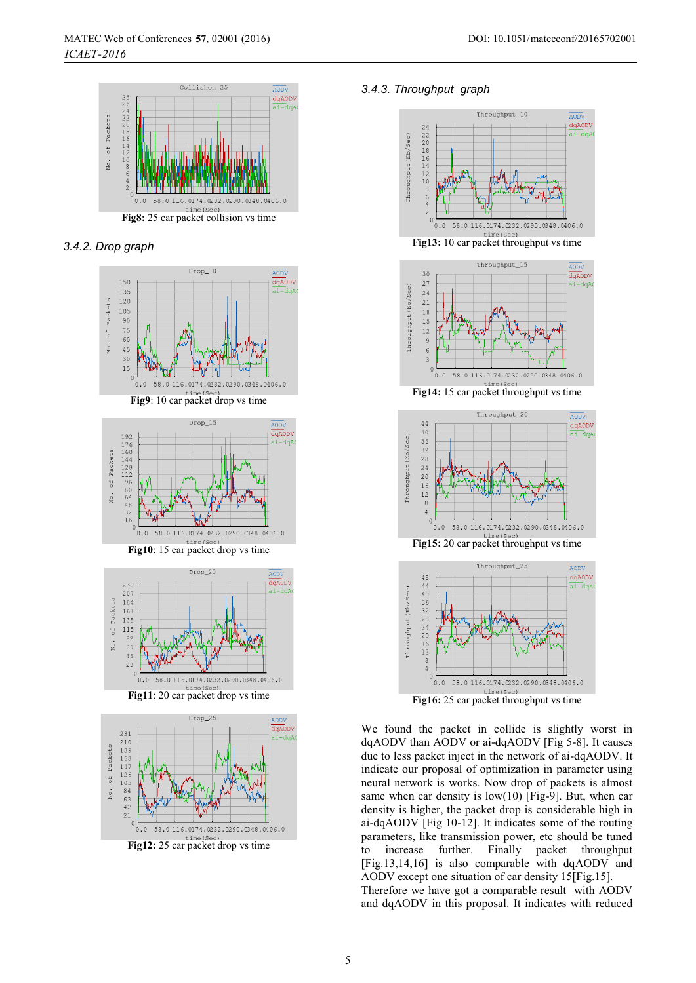

*3.4.2. Drop graph* 







**Fig11**: 20 car packet drop vs time



**Fig12:** 25 car packet drop vs time

#### *3.4.3. Throughput graph*



**Fig16:** 25 car packet throughput vs time

We found the packet in collide is slightly worst in dqAODV than AODV or ai-dqAODV [Fig 5-8]. It causes due to less packet inject in the network of ai-dqAODV. It indicate our proposal of optimization in parameter using neural network is works. Now drop of packets is almost same when car density is low(10) [Fig-9]. But, when car density is higher, the packet drop is considerable high in ai-dqAODV [Fig 10-12]. It indicates some of the routing parameters, like transmission power, etc should be tuned to increase further. Finally packet throughput [Fig.13,14,16] is also comparable with dqAODV and AODV except one situation of car density 15[Fig.15]. Therefore we have got a comparable result with AODV

and dqAODV in this proposal. It indicates with reduced